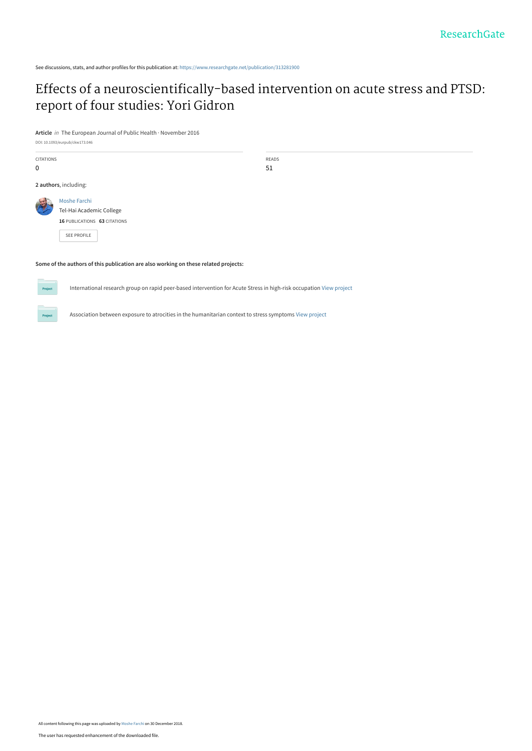See discussions, stats, and author profiles for this publication at: [https://www.researchgate.net/publication/313281900](https://www.researchgate.net/publication/313281900_Effects_of_a_neuroscientifically-based_intervention_on_acute_stress_and_PTSD_report_of_four_studies_Yori_Gidron?enrichId=rgreq-62dfe061ed2ed19b72f3f323d938f76e-XXX&enrichSource=Y292ZXJQYWdlOzMxMzI4MTkwMDtBUzo3MDk2NDYwNjI5ODkzMTJAMTU0NjIwNDIxNDIyMQ%3D%3D&el=1_x_2&_esc=publicationCoverPdf)

# [Effects of a neuroscientifically-based intervention on acute stress and PTSD:](https://www.researchgate.net/publication/313281900_Effects_of_a_neuroscientifically-based_intervention_on_acute_stress_and_PTSD_report_of_four_studies_Yori_Gidron?enrichId=rgreq-62dfe061ed2ed19b72f3f323d938f76e-XXX&enrichSource=Y292ZXJQYWdlOzMxMzI4MTkwMDtBUzo3MDk2NDYwNjI5ODkzMTJAMTU0NjIwNDIxNDIyMQ%3D%3D&el=1_x_3&_esc=publicationCoverPdf) report of four studies: Yori Gidron

**Article** in The European Journal of Public Health · November 2016

DOI: 10.1093/eurpub/ckw173.046

CITATIONS 0 READS 51 **2 authors**, including: [Moshe Farchi](https://www.researchgate.net/profile/Moshe_Farchi?enrichId=rgreq-62dfe061ed2ed19b72f3f323d938f76e-XXX&enrichSource=Y292ZXJQYWdlOzMxMzI4MTkwMDtBUzo3MDk2NDYwNjI5ODkzMTJAMTU0NjIwNDIxNDIyMQ%3D%3D&el=1_x_5&_esc=publicationCoverPdf) [Tel-Hai Academic College](https://www.researchgate.net/institution/Tel-Hai_Academic_College?enrichId=rgreq-62dfe061ed2ed19b72f3f323d938f76e-XXX&enrichSource=Y292ZXJQYWdlOzMxMzI4MTkwMDtBUzo3MDk2NDYwNjI5ODkzMTJAMTU0NjIwNDIxNDIyMQ%3D%3D&el=1_x_6&_esc=publicationCoverPdf) **16** PUBLICATIONS **63** CITATIONS [SEE PROFILE](https://www.researchgate.net/profile/Moshe_Farchi?enrichId=rgreq-62dfe061ed2ed19b72f3f323d938f76e-XXX&enrichSource=Y292ZXJQYWdlOzMxMzI4MTkwMDtBUzo3MDk2NDYwNjI5ODkzMTJAMTU0NjIwNDIxNDIyMQ%3D%3D&el=1_x_7&_esc=publicationCoverPdf)

# **Some of the authors of this publication are also working on these related projects:**

International research group on rapid peer-based intervention for Acute Stress in high-risk occupation [View project](https://www.researchgate.net/project/International-research-group-on-rapid-peer-based-intervention-for-Acute-Stress-in-high-risk-occupation?enrichId=rgreq-62dfe061ed2ed19b72f3f323d938f76e-XXX&enrichSource=Y292ZXJQYWdlOzMxMzI4MTkwMDtBUzo3MDk2NDYwNjI5ODkzMTJAMTU0NjIwNDIxNDIyMQ%3D%3D&el=1_x_9&_esc=publicationCoverPdf)

Association between exposure to atrocities in the humanitarian context to stress symptoms [View project](https://www.researchgate.net/project/Association-between-exposure-to-atrocities-in-the-humanitarian-context-to-stress-symptoms?enrichId=rgreq-62dfe061ed2ed19b72f3f323d938f76e-XXX&enrichSource=Y292ZXJQYWdlOzMxMzI4MTkwMDtBUzo3MDk2NDYwNjI5ODkzMTJAMTU0NjIwNDIxNDIyMQ%3D%3D&el=1_x_9&_esc=publicationCoverPdf)